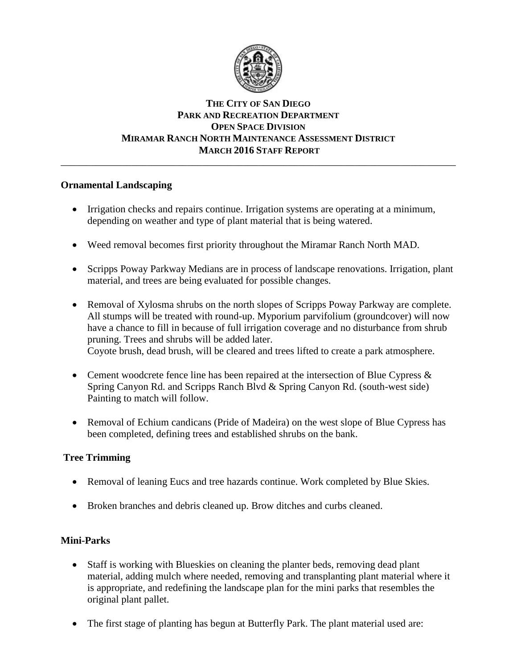

#### **THE CITY OF SAN DIEGO PARK AND RECREATION DEPARTMENT OPEN SPACE DIVISION MIRAMAR RANCH NORTH MAINTENANCE ASSESSMENT DISTRICT MARCH 2016 STAFF REPORT** \_\_\_\_\_\_\_\_\_\_\_\_\_\_\_\_\_\_\_\_\_\_\_\_\_\_\_\_\_\_\_\_\_\_\_\_\_\_\_\_\_\_\_\_\_\_\_\_\_\_\_\_\_\_\_\_\_\_\_\_\_\_\_\_\_\_\_\_\_\_\_\_\_\_\_\_\_\_

### **Ornamental Landscaping**

- Irrigation checks and repairs continue. Irrigation systems are operating at a minimum, depending on weather and type of plant material that is being watered.
- Weed removal becomes first priority throughout the Miramar Ranch North MAD.
- Scripps Poway Parkway Medians are in process of landscape renovations. Irrigation, plant material, and trees are being evaluated for possible changes.
- Removal of Xylosma shrubs on the north slopes of Scripps Poway Parkway are complete. All stumps will be treated with round-up. Myporium parvifolium (groundcover) will now have a chance to fill in because of full irrigation coverage and no disturbance from shrub pruning. Trees and shrubs will be added later. Coyote brush, dead brush, will be cleared and trees lifted to create a park atmosphere.
- Cement woodcrete fence line has been repaired at the intersection of Blue Cypress & Spring Canyon Rd. and Scripps Ranch Blvd & Spring Canyon Rd. (south-west side) Painting to match will follow.
- Removal of Echium candicans (Pride of Madeira) on the west slope of Blue Cypress has been completed, defining trees and established shrubs on the bank.

# **Tree Trimming**

- Removal of leaning Eucs and tree hazards continue. Work completed by Blue Skies.
- Broken branches and debris cleaned up. Brow ditches and curbs cleaned.

# **Mini-Parks**

- Staff is working with Blueskies on cleaning the planter beds, removing dead plant material, adding mulch where needed, removing and transplanting plant material where it is appropriate, and redefining the landscape plan for the mini parks that resembles the original plant pallet.
- The first stage of planting has begun at Butterfly Park. The plant material used are: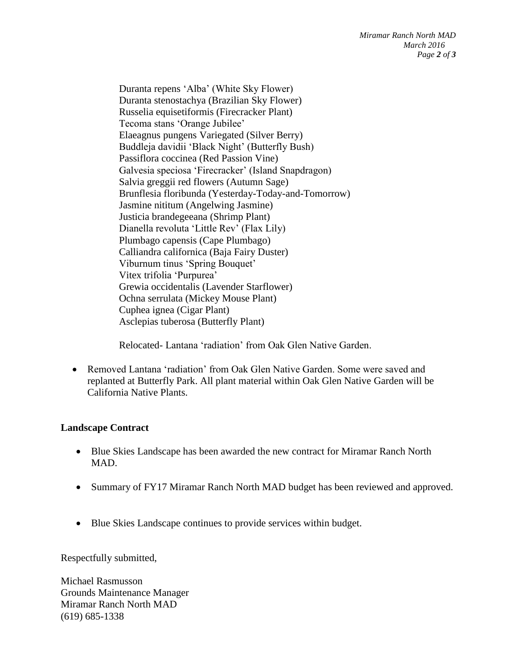Duranta repens 'Alba' (White Sky Flower) Duranta stenostachya (Brazilian Sky Flower) Russelia equisetiformis (Firecracker Plant) Tecoma stans 'Orange Jubilee' Elaeagnus pungens Variegated (Silver Berry) Buddleja davidii 'Black Night' (Butterfly Bush) Passiflora coccinea (Red Passion Vine) Galvesia speciosa 'Firecracker' (Island Snapdragon) Salvia greggii red flowers (Autumn Sage) Brunflesia floribunda (Yesterday-Today-and-Tomorrow) Jasmine nititum (Angelwing Jasmine) Justicia brandegeeana (Shrimp Plant) Dianella revoluta 'Little Rev' (Flax Lily) Plumbago capensis (Cape Plumbago) Calliandra californica (Baja Fairy Duster) Viburnum tinus 'Spring Bouquet' Vitex trifolia 'Purpurea' Grewia occidentalis (Lavender Starflower) Ochna serrulata (Mickey Mouse Plant) Cuphea ignea (Cigar Plant) Asclepias tuberosa (Butterfly Plant)

Relocated- Lantana 'radiation' from Oak Glen Native Garden.

 Removed Lantana 'radiation' from Oak Glen Native Garden. Some were saved and replanted at Butterfly Park. All plant material within Oak Glen Native Garden will be California Native Plants.

### **Landscape Contract**

- Blue Skies Landscape has been awarded the new contract for Miramar Ranch North MAD.
- Summary of FY17 Miramar Ranch North MAD budget has been reviewed and approved.
- Blue Skies Landscape continues to provide services within budget.

Respectfully submitted,

Michael Rasmusson Grounds Maintenance Manager Miramar Ranch North MAD (619) 685-1338